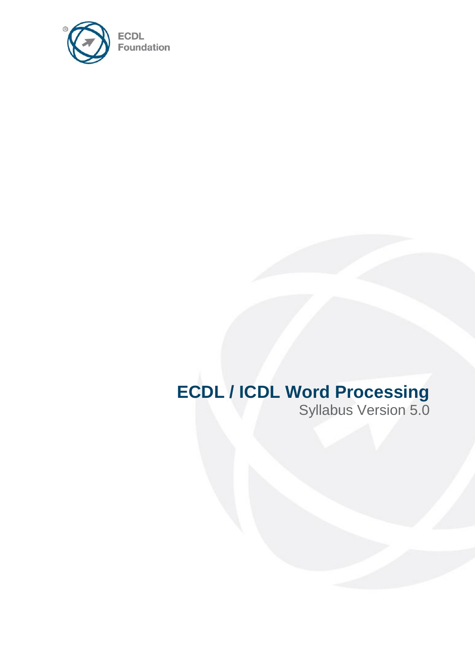

# **ECDL / ICDL Word Processing**

Syllabus Version 5.0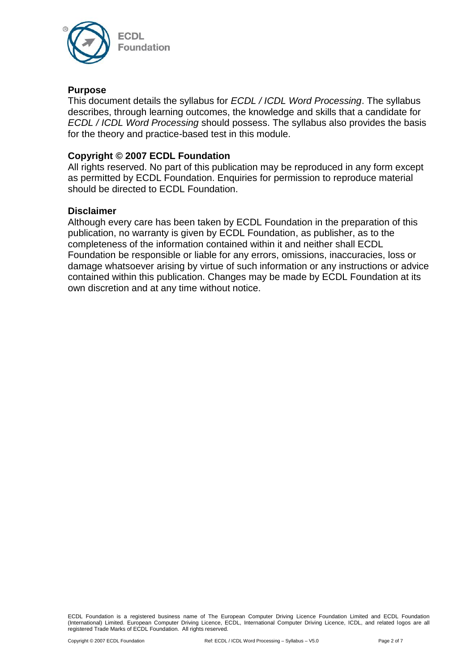

#### **Purpose**

This document details the syllabus for *ECDL / ICDL Word Processing*. The syllabus describes, through learning outcomes, the knowledge and skills that a candidate for *ECDL / ICDL Word Processing* should possess. The syllabus also provides the basis for the theory and practice-based test in this module.

#### **Copyright © 2007 ECDL Foundation**

All rights reserved. No part of this publication may be reproduced in any form except as permitted by ECDL Foundation. Enquiries for permission to reproduce material should be directed to ECDL Foundation.

#### **Disclaimer**

Although every care has been taken by ECDL Foundation in the preparation of this publication, no warranty is given by ECDL Foundation, as publisher, as to the completeness of the information contained within it and neither shall ECDL Foundation be responsible or liable for any errors, omissions, inaccuracies, loss or damage whatsoever arising by virtue of such information or any instructions or advice contained within this publication. Changes may be made by ECDL Foundation at its own discretion and at any time without notice.

ECDL Foundation is a registered business name of The European Computer Driving Licence Foundation Limited and ECDL Foundation (International) Limited. European Computer Driving Licence, ECDL, International Computer Driving Licence, ICDL, and related logos are all registered Trade Marks of ECDL Foundation. All rights reserved.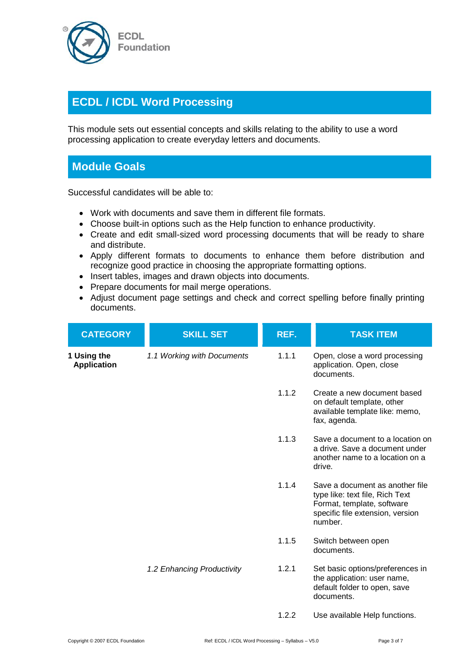

## **ECDL / ICDL Word Processing**

This module sets out essential concepts and skills relating to the ability to use a word processing application to create everyday letters and documents.

### **Module Goals**

Successful candidates will be able to:

- Work with documents and save them in different file formats.
- Choose built-in options such as the Help function to enhance productivity.
- Create and edit small-sized word processing documents that will be ready to share and distribute.
- Apply different formats to documents to enhance them before distribution and recognize good practice in choosing the appropriate formatting options.
- Insert tables, images and drawn objects into documents.
- Prepare documents for mail merge operations.
- Adjust document page settings and check and correct spelling before finally printing documents.

| <b>CATEGORY</b>                   | <b>SKILL SET</b>           | REF.  | <b>TASK ITEM</b>                                                                                                                                |
|-----------------------------------|----------------------------|-------|-------------------------------------------------------------------------------------------------------------------------------------------------|
| 1 Using the<br><b>Application</b> | 1.1 Working with Documents | 1.1.1 | Open, close a word processing<br>application. Open, close<br>documents.                                                                         |
|                                   |                            | 1.1.2 | Create a new document based<br>on default template, other<br>available template like: memo,<br>fax, agenda.                                     |
|                                   |                            | 1.1.3 | Save a document to a location on<br>a drive. Save a document under<br>another name to a location on a<br>drive.                                 |
|                                   |                            | 1.1.4 | Save a document as another file<br>type like: text file, Rich Text<br>Format, template, software<br>specific file extension, version<br>number. |
|                                   |                            | 1.1.5 | Switch between open<br>documents.                                                                                                               |
|                                   | 1.2 Enhancing Productivity | 1.2.1 | Set basic options/preferences in<br>the application: user name,<br>default folder to open, save<br>documents.                                   |
|                                   |                            | 1.2.2 | Use available Help functions.                                                                                                                   |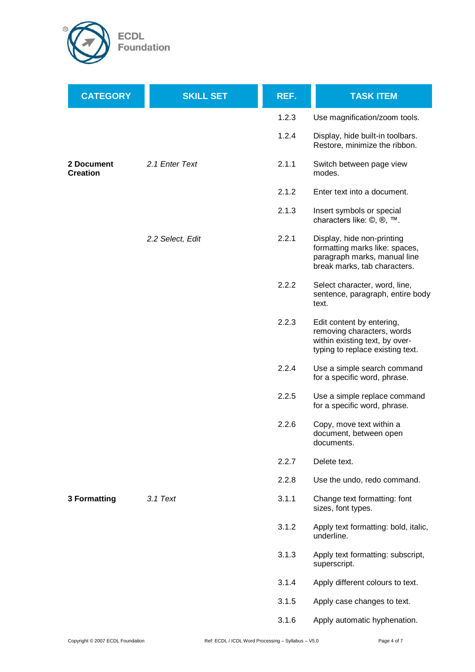

| <b>CATEGORY</b>               | <b>SKILL SET</b> | REF.  | <b>TASK ITEM</b>                                                                                                              |
|-------------------------------|------------------|-------|-------------------------------------------------------------------------------------------------------------------------------|
|                               |                  | 1.2.3 | Use magnification/zoom tools.                                                                                                 |
|                               |                  | 1.2.4 | Display, hide built-in toolbars.<br>Restore, minimize the ribbon.                                                             |
| 2 Document<br><b>Creation</b> | 2.1 Enter Text   | 2.1.1 | Switch between page view<br>modes.                                                                                            |
|                               |                  | 2.1.2 | Enter text into a document.                                                                                                   |
|                               |                  | 2.1.3 | Insert symbols or special<br>characters like: ©, ®, ™.                                                                        |
|                               | 2.2 Select, Edit | 2.2.1 | Display, hide non-printing<br>formatting marks like: spaces,<br>paragraph marks, manual line<br>break marks, tab characters.  |
|                               |                  | 2.2.2 | Select character, word, line,<br>sentence, paragraph, entire body<br>text.                                                    |
|                               |                  | 2.2.3 | Edit content by entering,<br>removing characters, words<br>within existing text, by over-<br>typing to replace existing text. |
|                               |                  | 2.2.4 | Use a simple search command<br>for a specific word, phrase.                                                                   |
|                               |                  | 2.2.5 | Use a simple replace command<br>for a specific word, phrase.                                                                  |
|                               |                  | 2.2.6 | Copy, move text within a<br>document, between open<br>documents.                                                              |
|                               |                  | 2.2.7 | Delete text.                                                                                                                  |
|                               |                  | 2.2.8 | Use the undo, redo command.                                                                                                   |
| <b>3 Formatting</b>           | $3.1$ Text       | 3.1.1 | Change text formatting: font<br>sizes, font types.                                                                            |
|                               |                  | 3.1.2 | Apply text formatting: bold, italic,<br>underline.                                                                            |
|                               |                  | 3.1.3 | Apply text formatting: subscript,<br>superscript.                                                                             |
|                               |                  | 3.1.4 | Apply different colours to text.                                                                                              |
|                               |                  | 3.1.5 | Apply case changes to text.                                                                                                   |
|                               |                  | 3.1.6 | Apply automatic hyphenation.                                                                                                  |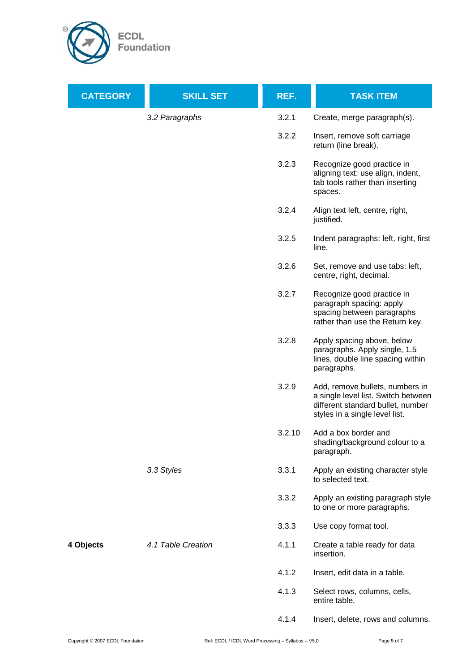

| <b>CATEGORY</b> | <b>SKILL SET</b>   | REF.   | <b>TASK ITEM</b>                                                                                                                              |
|-----------------|--------------------|--------|-----------------------------------------------------------------------------------------------------------------------------------------------|
|                 | 3.2 Paragraphs     | 3.2.1  | Create, merge paragraph(s).                                                                                                                   |
|                 |                    | 3.2.2  | Insert, remove soft carriage<br>return (line break).                                                                                          |
|                 |                    | 3.2.3  | Recognize good practice in<br>aligning text: use align, indent,<br>tab tools rather than inserting<br>spaces.                                 |
|                 |                    | 3.2.4  | Align text left, centre, right,<br>justified.                                                                                                 |
|                 |                    | 3.2.5  | Indent paragraphs: left, right, first<br>line.                                                                                                |
|                 |                    | 3.2.6  | Set, remove and use tabs: left,<br>centre, right, decimal.                                                                                    |
|                 |                    | 3.2.7  | Recognize good practice in<br>paragraph spacing: apply<br>spacing between paragraphs<br>rather than use the Return key.                       |
|                 |                    | 3.2.8  | Apply spacing above, below<br>paragraphs. Apply single, 1.5<br>lines, double line spacing within<br>paragraphs.                               |
|                 |                    | 3.2.9  | Add, remove bullets, numbers in<br>a single level list. Switch between<br>different standard bullet, number<br>styles in a single level list. |
|                 |                    | 3.2.10 | Add a box border and<br>shading/background colour to a<br>paragraph.                                                                          |
|                 | 3.3 Styles         | 3.3.1  | Apply an existing character style<br>to selected text.                                                                                        |
|                 |                    | 3.3.2  | Apply an existing paragraph style<br>to one or more paragraphs.                                                                               |
|                 |                    | 3.3.3  | Use copy format tool.                                                                                                                         |
| 4 Objects       | 4.1 Table Creation | 4.1.1  | Create a table ready for data<br>insertion.                                                                                                   |
|                 |                    | 4.1.2  | Insert, edit data in a table.                                                                                                                 |
|                 |                    | 4.1.3  | Select rows, columns, cells,<br>entire table.                                                                                                 |
|                 |                    | 4.1.4  | Insert, delete, rows and columns.                                                                                                             |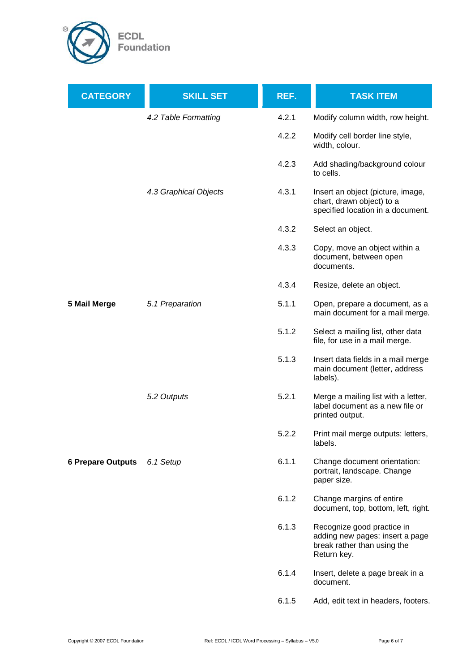

| <b>CATEGORY</b>          | <b>SKILL SET</b>      | REF.  | <b>TASK ITEM</b>                                                                                            |
|--------------------------|-----------------------|-------|-------------------------------------------------------------------------------------------------------------|
|                          | 4.2 Table Formatting  | 4.2.1 | Modify column width, row height.                                                                            |
|                          |                       | 4.2.2 | Modify cell border line style,<br>width, colour.                                                            |
|                          |                       | 4.2.3 | Add shading/background colour<br>to cells.                                                                  |
|                          | 4.3 Graphical Objects | 4.3.1 | Insert an object (picture, image,<br>chart, drawn object) to a<br>specified location in a document.         |
|                          |                       | 4.3.2 | Select an object.                                                                                           |
|                          |                       | 4.3.3 | Copy, move an object within a<br>document, between open<br>documents.                                       |
|                          |                       | 4.3.4 | Resize, delete an object.                                                                                   |
| 5 Mail Merge             | 5.1 Preparation       | 5.1.1 | Open, prepare a document, as a<br>main document for a mail merge.                                           |
|                          |                       | 5.1.2 | Select a mailing list, other data<br>file, for use in a mail merge.                                         |
|                          |                       | 5.1.3 | Insert data fields in a mail merge<br>main document (letter, address<br>labels).                            |
|                          | 5.2 Outputs           | 5.2.1 | Merge a mailing list with a letter,<br>label document as a new file or<br>printed output.                   |
|                          |                       | 5.2.2 | Print mail merge outputs: letters,<br>labels.                                                               |
| <b>6 Prepare Outputs</b> | 6.1 Setup             | 6.1.1 | Change document orientation:<br>portrait, landscape. Change<br>paper size.                                  |
|                          |                       | 6.1.2 | Change margins of entire<br>document, top, bottom, left, right.                                             |
|                          |                       | 6.1.3 | Recognize good practice in<br>adding new pages: insert a page<br>break rather than using the<br>Return key. |
|                          |                       | 6.1.4 | Insert, delete a page break in a<br>document.                                                               |
|                          |                       | 6.1.5 | Add, edit text in headers, footers.                                                                         |